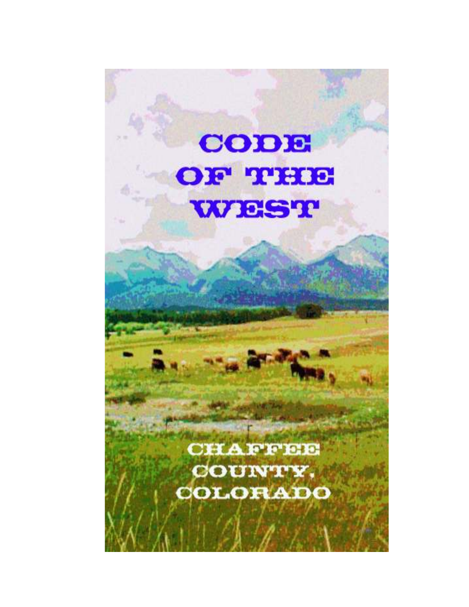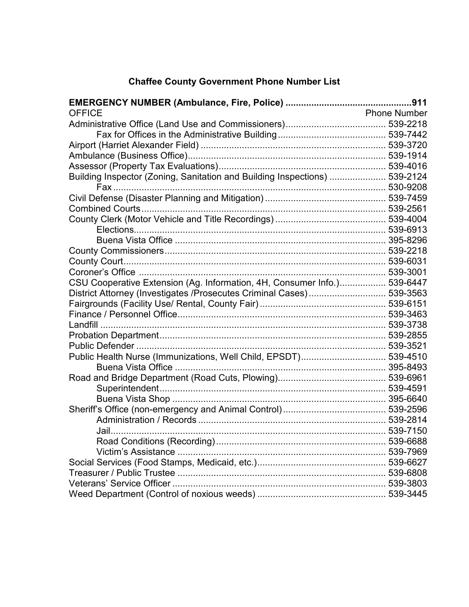# Chaffee County Government Phone Number List

| <b>OFFICE</b>                                                              | <b>Phone Number</b> |
|----------------------------------------------------------------------------|---------------------|
|                                                                            |                     |
|                                                                            |                     |
|                                                                            |                     |
|                                                                            |                     |
|                                                                            |                     |
| Building Inspector (Zoning, Sanitation and Building Inspections)  539-2124 |                     |
|                                                                            |                     |
|                                                                            |                     |
|                                                                            |                     |
|                                                                            |                     |
|                                                                            |                     |
|                                                                            |                     |
|                                                                            |                     |
|                                                                            |                     |
|                                                                            |                     |
| CSU Cooperative Extension (Ag. Information, 4H, Consumer Info.) 539-6447   |                     |
| District Attorney (Investigates /Prosecutes Criminal Cases) 539-3563       |                     |
|                                                                            |                     |
|                                                                            |                     |
|                                                                            |                     |
|                                                                            |                     |
|                                                                            |                     |
| Public Health Nurse (Immunizations, Well Child, EPSDT) 539-4510            |                     |
| Buena Vista Office                                                         |                     |
|                                                                            |                     |
|                                                                            |                     |
|                                                                            |                     |
|                                                                            |                     |
|                                                                            |                     |
|                                                                            |                     |
|                                                                            |                     |
|                                                                            |                     |
|                                                                            |                     |
|                                                                            |                     |
|                                                                            |                     |
|                                                                            |                     |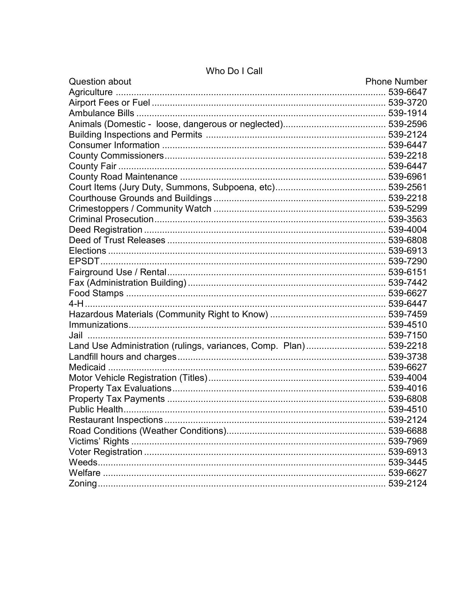| <b>Question about</b>                                             | <b>Phone Number</b> |
|-------------------------------------------------------------------|---------------------|
|                                                                   |                     |
|                                                                   |                     |
|                                                                   |                     |
|                                                                   |                     |
|                                                                   |                     |
|                                                                   |                     |
|                                                                   |                     |
|                                                                   |                     |
|                                                                   |                     |
|                                                                   |                     |
|                                                                   |                     |
|                                                                   |                     |
|                                                                   |                     |
|                                                                   |                     |
|                                                                   |                     |
|                                                                   |                     |
|                                                                   |                     |
|                                                                   |                     |
|                                                                   |                     |
|                                                                   |                     |
|                                                                   |                     |
|                                                                   |                     |
|                                                                   |                     |
|                                                                   |                     |
| Land Use Administration (rulings, variances, Comp. Plan) 539-2218 |                     |
|                                                                   |                     |
| Medicaid                                                          |                     |
|                                                                   |                     |
|                                                                   |                     |
|                                                                   |                     |
|                                                                   |                     |
| <b>Restaurant Inspections</b>                                     | 539-2124            |
|                                                                   |                     |
|                                                                   |                     |
|                                                                   |                     |
|                                                                   |                     |
|                                                                   |                     |
|                                                                   |                     |

# Who Do I Call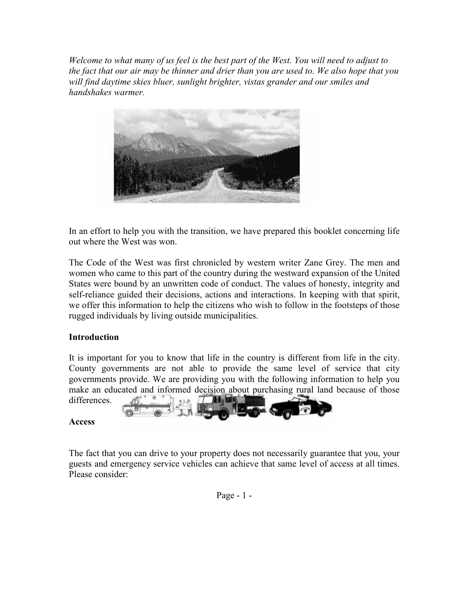Welcome to what many of us feel is the best part of the West. You will need to adjust to the fact that our air may be thinner and drier than you are used to. We also hope that you will find daytime skies bluer, sunlight brighter, vistas grander and our smiles and handshakes warmer.



In an effort to help you with the transition, we have prepared this booklet concerning life out where the West was won.

The Code of the West was first chronicled by western writer Zane Grey. The men and women who came to this part of the country during the westward expansion of the United States were bound by an unwritten code of conduct. The values of honesty, integrity and self-reliance guided their decisions, actions and interactions. In keeping with that spirit, we offer this information to help the citizens who wish to follow in the footsteps of those rugged individuals by living outside municipalities.

# Introduction

It is important for you to know that life in the country is different from life in the city. County governments are not able to provide the same level of service that city governments provide. We are providing you with the following information to help you make an educated and informed decision about purchasing rural land because of those



#### Access

The fact that you can drive to your property does not necessarily guarantee that you, your guests and emergency service vehicles can achieve that same level of access at all times. Please consider: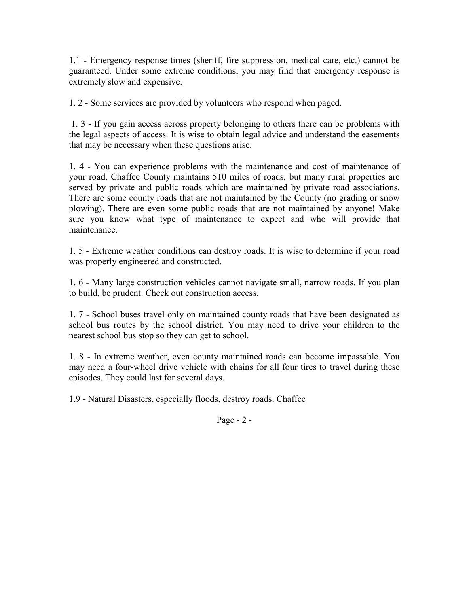1.1 - Emergency response times (sheriff, fire suppression, medical care, etc.) cannot be guaranteed. Under some extreme conditions, you may find that emergency response is extremely slow and expensive.

1. 2 - Some services are provided by volunteers who respond when paged.

 1. 3 - If you gain access across property belonging to others there can be problems with the legal aspects of access. It is wise to obtain legal advice and understand the easements that may be necessary when these questions arise.

1. 4 - You can experience problems with the maintenance and cost of maintenance of your road. Chaffee County maintains 510 miles of roads, but many rural properties are served by private and public roads which are maintained by private road associations. There are some county roads that are not maintained by the County (no grading or snow plowing). There are even some public roads that are not maintained by anyone! Make sure you know what type of maintenance to expect and who will provide that maintenance.

1. 5 - Extreme weather conditions can destroy roads. It is wise to determine if your road was properly engineered and constructed.

1. 6 - Many large construction vehicles cannot navigate small, narrow roads. If you plan to build, be prudent. Check out construction access.

1. 7 - School buses travel only on maintained county roads that have been designated as school bus routes by the school district. You may need to drive your children to the nearest school bus stop so they can get to school.

1. 8 - In extreme weather, even county maintained roads can become impassable. You may need a four-wheel drive vehicle with chains for all four tires to travel during these episodes. They could last for several days.

1.9 - Natural Disasters, especially floods, destroy roads. Chaffee

Page - 2 -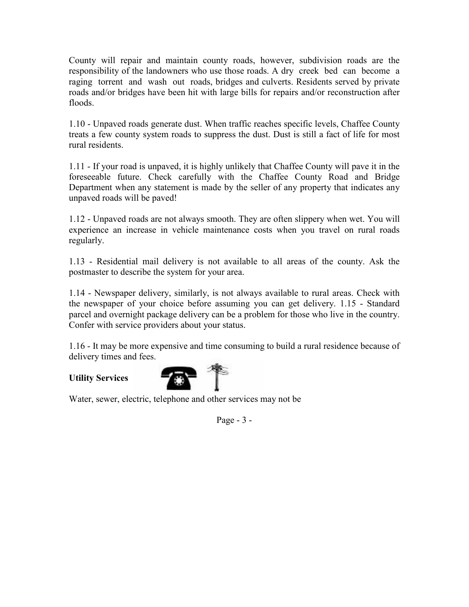County will repair and maintain county roads, however, subdivision roads are the responsibility of the landowners who use those roads. A dry creek bed can become a raging torrent and wash out roads, bridges and culverts. Residents served by private roads and/or bridges have been hit with large bills for repairs and/or reconstruction after floods.

1.10 - Unpaved roads generate dust. When traffic reaches specific levels, Chaffee County treats a few county system roads to suppress the dust. Dust is still a fact of life for most rural residents.

1.11 - If your road is unpaved, it is highly unlikely that Chaffee County will pave it in the foreseeable future. Check carefully with the Chaffee County Road and Bridge Department when any statement is made by the seller of any property that indicates any unpaved roads will be paved!

1.12 - Unpaved roads are not always smooth. They are often slippery when wet. You will experience an increase in vehicle maintenance costs when you travel on rural roads regularly.

1.13 - Residential mail delivery is not available to all areas of the county. Ask the postmaster to describe the system for your area.

1.14 - Newspaper delivery, similarly, is not always available to rural areas. Check with the newspaper of your choice before assuming you can get delivery. 1.15 - Standard parcel and overnight package delivery can be a problem for those who live in the country. Confer with service providers about your status.

1.16 - It may be more expensive and time consuming to build a rural residence because of delivery times and fees.

# Utility Services



Water, sewer, electric, telephone and other services may not be

Page - 3 -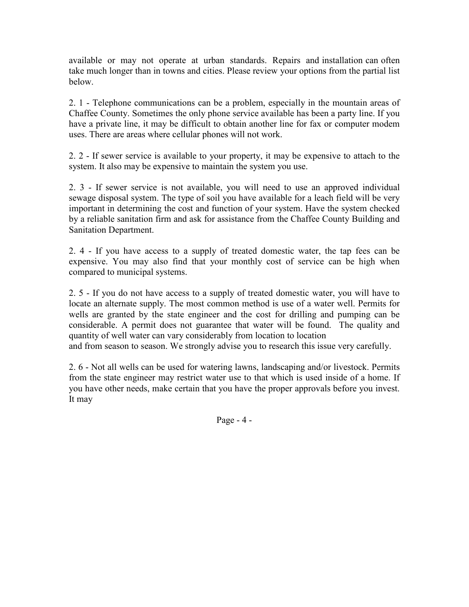available or may not operate at urban standards. Repairs and installation can often take much longer than in towns and cities. Please review your options from the partial list below.

2. 1 - Telephone communications can be a problem, especially in the mountain areas of Chaffee County. Sometimes the only phone service available has been a party line. If you have a private line, it may be difficult to obtain another line for fax or computer modem uses. There are areas where cellular phones will not work.

2. 2 - If sewer service is available to your property, it may be expensive to attach to the system. It also may be expensive to maintain the system you use.

2. 3 - If sewer service is not available, you will need to use an approved individual sewage disposal system. The type of soil you have available for a leach field will be very important in determining the cost and function of your system. Have the system checked by a reliable sanitation firm and ask for assistance from the Chaffee County Building and Sanitation Department.

2. 4 - If you have access to a supply of treated domestic water, the tap fees can be expensive. You may also find that your monthly cost of service can be high when compared to municipal systems.

2. 5 - If you do not have access to a supply of treated domestic water, you will have to locate an alternate supply. The most common method is use of a water well. Permits for wells are granted by the state engineer and the cost for drilling and pumping can be considerable. A permit does not guarantee that water will be found. The quality and quantity of well water can vary considerably from location to location and from season to season. We strongly advise you to research this issue very carefully.

2. 6 - Not all wells can be used for watering lawns, landscaping and/or livestock. Permits from the state engineer may restrict water use to that which is used inside of a home. If you have other needs, make certain that you have the proper approvals before you invest. It may

Page - 4 -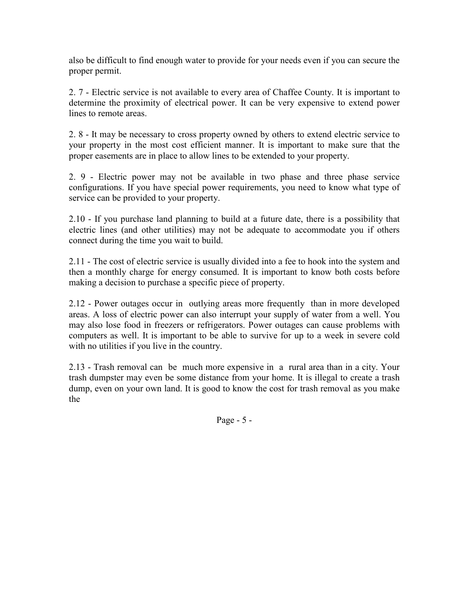also be difficult to find enough water to provide for your needs even if you can secure the proper permit.

2. 7 - Electric service is not available to every area of Chaffee County. It is important to determine the proximity of electrical power. It can be very expensive to extend power lines to remote areas.

2. 8 - It may be necessary to cross property owned by others to extend electric service to your property in the most cost efficient manner. It is important to make sure that the proper easements are in place to allow lines to be extended to your property.

2. 9 - Electric power may not be available in two phase and three phase service configurations. If you have special power requirements, you need to know what type of service can be provided to your property.

2.10 - If you purchase land planning to build at a future date, there is a possibility that electric lines (and other utilities) may not be adequate to accommodate you if others connect during the time you wait to build.

2.11 - The cost of electric service is usually divided into a fee to hook into the system and then a monthly charge for energy consumed. It is important to know both costs before making a decision to purchase a specific piece of property.

2.12 - Power outages occur in outlying areas more frequently than in more developed areas. A loss of electric power can also interrupt your supply of water from a well. You may also lose food in freezers or refrigerators. Power outages can cause problems with computers as well. It is important to be able to survive for up to a week in severe cold with no utilities if you live in the country.

2.13 - Trash removal can be much more expensive in a rural area than in a city. Your trash dumpster may even be some distance from your home. It is illegal to create a trash dump, even on your own land. It is good to know the cost for trash removal as you make the

Page - 5 -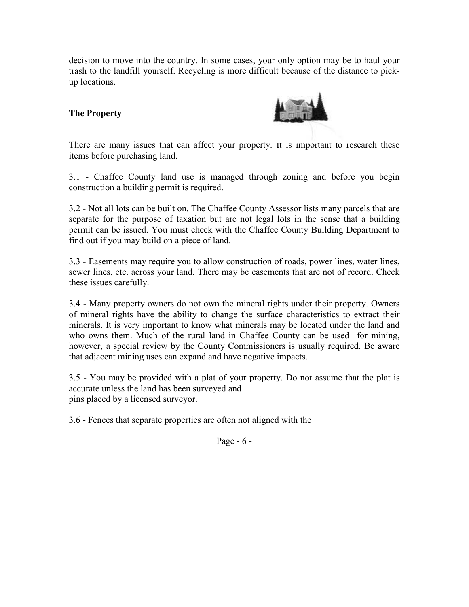decision to move into the country. In some cases, your only option may be to haul your trash to the landfill yourself. Recycling is more difficult because of the distance to pickup locations.

# The Property



There are many issues that can affect your property. It is important to research these items before purchasing land.

3.1 - Chaffee County land use is managed through zoning and before you begin construction a building permit is required.

3.2 - Not all lots can be built on. The Chaffee County Assessor lists many parcels that are separate for the purpose of taxation but are not legal lots in the sense that a building permit can be issued. You must check with the Chaffee County Building Department to find out if you may build on a piece of land.

3.3 - Easements may require you to allow construction of roads, power lines, water lines, sewer lines, etc. across your land. There may be easements that are not of record. Check these issues carefully.

3.4 - Many property owners do not own the mineral rights under their property. Owners of mineral rights have the ability to change the surface characteristics to extract their minerals. It is very important to know what minerals may be located under the land and who owns them. Much of the rural land in Chaffee County can be used for mining, however, a special review by the County Commissioners is usually required. Be aware that adjacent mining uses can expand and have negative impacts.

3.5 - You may be provided with a plat of your property. Do not assume that the plat is accurate unless the land has been surveyed and pins placed by a licensed surveyor.

3.6 - Fences that separate properties are often not aligned with the

Page - 6 -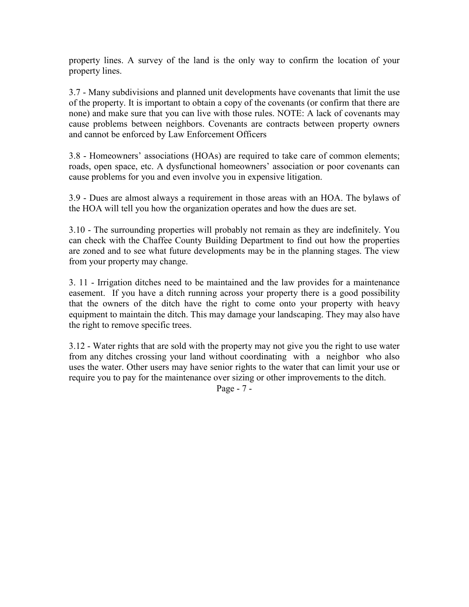property lines. A survey of the land is the only way to confirm the location of your property lines.

3.7 - Many subdivisions and planned unit developments have covenants that limit the use of the property. It is important to obtain a copy of the covenants (or confirm that there are none) and make sure that you can live with those rules. NOTE: A lack of covenants may cause problems between neighbors. Covenants are contracts between property owners and cannot be enforced by Law Enforcement Officers

3.8 - Homeowners' associations (HOAs) are required to take care of common elements; roads, open space, etc. A dysfunctional homeowners' association or poor covenants can cause problems for you and even involve you in expensive litigation.

3.9 - Dues are almost always a requirement in those areas with an HOA. The bylaws of the HOA will tell you how the organization operates and how the dues are set.

3.10 - The surrounding properties will probably not remain as they are indefinitely. You can check with the Chaffee County Building Department to find out how the properties are zoned and to see what future developments may be in the planning stages. The view from your property may change.

3. 11 - Irrigation ditches need to be maintained and the law provides for a maintenance easement. If you have a ditch running across your property there is a good possibility that the owners of the ditch have the right to come onto your property with heavy equipment to maintain the ditch. This may damage your landscaping. They may also have the right to remove specific trees.

3.12 - Water rights that are sold with the property may not give you the right to use water from any ditches crossing your land without coordinating with a neighbor who also uses the water. Other users may have senior rights to the water that can limit your use or require you to pay for the maintenance over sizing or other improvements to the ditch.

Page - 7 -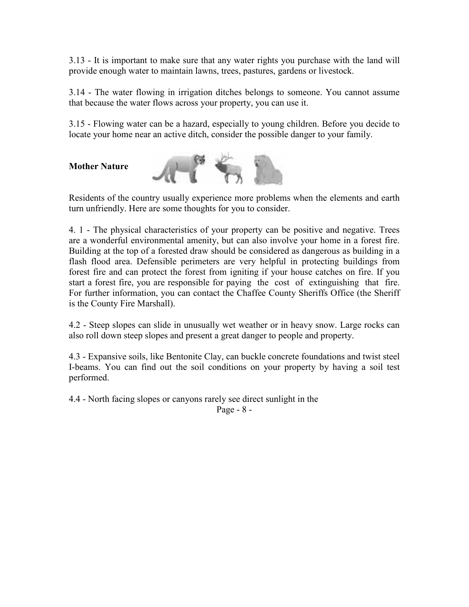3.13 - It is important to make sure that any water rights you purchase with the land will provide enough water to maintain lawns, trees, pastures, gardens or livestock.

3.14 - The water flowing in irrigation ditches belongs to someone. You cannot assume that because the water flows across your property, you can use it.

3.15 - Flowing water can be a hazard, especially to young children. Before you decide to locate your home near an active ditch, consider the possible danger to your family.

### Mother Nature



Residents of the country usually experience more problems when the elements and earth turn unfriendly. Here are some thoughts for you to consider.

4. 1 - The physical characteristics of your property can be positive and negative. Trees are a wonderful environmental amenity, but can also involve your home in a forest fire. Building at the top of a forested draw should be considered as dangerous as building in a flash flood area. Defensible perimeters are very helpful in protecting buildings from forest fire and can protect the forest from igniting if your house catches on fire. If you start a forest fire, you are responsible for paying the cost of extinguishing that fire. For further information, you can contact the Chaffee County Sheriffs Office (the Sheriff is the County Fire Marshall).

4.2 - Steep slopes can slide in unusually wet weather or in heavy snow. Large rocks can also roll down steep slopes and present a great danger to people and property.

4.3 - Expansive soils, like Bentonite Clay, can buckle concrete foundations and twist steel I-beams. You can find out the soil conditions on your property by having a soil test performed.

4.4 - North facing slopes or canyons rarely see direct sunlight in the

Page - 8 -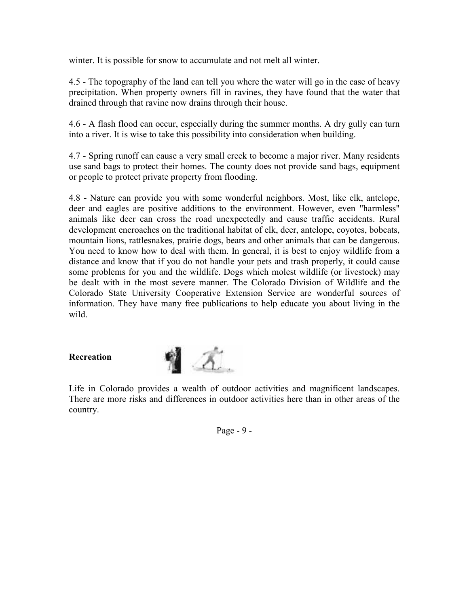winter. It is possible for snow to accumulate and not melt all winter.

4.5 - The topography of the land can tell you where the water will go in the case of heavy precipitation. When property owners fill in ravines, they have found that the water that drained through that ravine now drains through their house.

4.6 - A flash flood can occur, especially during the summer months. A dry gully can turn into a river. It is wise to take this possibility into consideration when building.

4.7 - Spring runoff can cause a very small creek to become a major river. Many residents use sand bags to protect their homes. The county does not provide sand bags, equipment or people to protect private property from flooding.

4.8 - Nature can provide you with some wonderful neighbors. Most, like elk, antelope, deer and eagles are positive additions to the environment. However, even "harmless" animals like deer can cross the road unexpectedly and cause traffic accidents. Rural development encroaches on the traditional habitat of elk, deer, antelope, coyotes, bobcats, mountain lions, rattlesnakes, prairie dogs, bears and other animals that can be dangerous. You need to know how to deal with them. In general, it is best to enjoy wildlife from a distance and know that if you do not handle your pets and trash properly, it could cause some problems for you and the wildlife. Dogs which molest wildlife (or livestock) may be dealt with in the most severe manner. The Colorado Division of Wildlife and the Colorado State University Cooperative Extension Service are wonderful sources of information. They have many free publications to help educate you about living in the wild.

# Recreation



Life in Colorado provides a wealth of outdoor activities and magnificent landscapes. There are more risks and differences in outdoor activities here than in other areas of the country.

Page - 9 -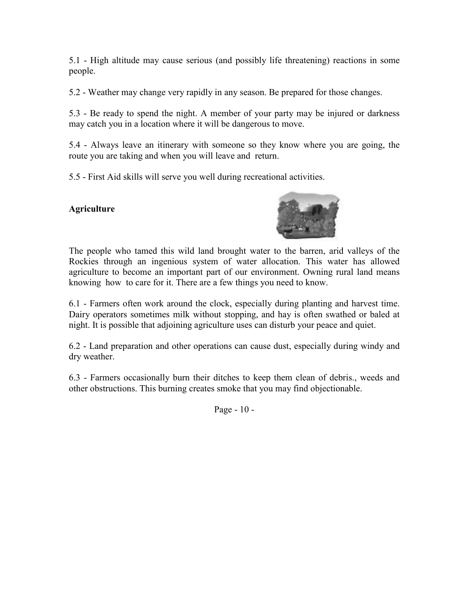5.1 - High altitude may cause serious (and possibly life threatening) reactions in some people.

5.2 - Weather may change very rapidly in any season. Be prepared for those changes.

5.3 - Be ready to spend the night. A member of your party may be injured or darkness may catch you in a location where it will be dangerous to move.

5.4 - Always leave an itinerary with someone so they know where you are going, the route you are taking and when you will leave and return.

5.5 - First Aid skills will serve you well during recreational activities.

# **Agriculture**



The people who tamed this wild land brought water to the barren, arid valleys of the Rockies through an ingenious system of water allocation. This water has allowed agriculture to become an important part of our environment. Owning rural land means knowing how to care for it. There are a few things you need to know.

6.1 - Farmers often work around the clock, especially during planting and harvest time. Dairy operators sometimes milk without stopping, and hay is often swathed or baled at night. It is possible that adjoining agriculture uses can disturb your peace and quiet.

6.2 - Land preparation and other operations can cause dust, especially during windy and dry weather.

6.3 - Farmers occasionally burn their ditches to keep them clean of debris., weeds and other obstructions. This burning creates smoke that you may find objectionable.

Page - 10 -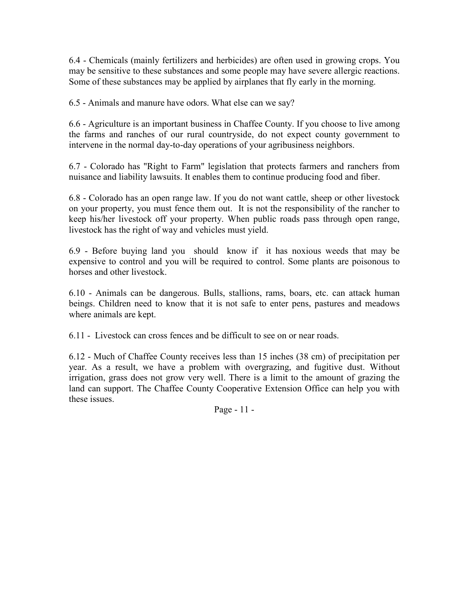6.4 - Chemicals (mainly fertilizers and herbicides) are often used in growing crops. You may be sensitive to these substances and some people may have severe allergic reactions. Some of these substances may be applied by airplanes that fly early in the morning.

6.5 - Animals and manure have odors. What else can we say?

6.6 - Agriculture is an important business in Chaffee County. If you choose to live among the farms and ranches of our rural countryside, do not expect county government to intervene in the normal day-to-day operations of your agribusiness neighbors.

6.7 - Colorado has "Right to Farm" legislation that protects farmers and ranchers from nuisance and liability lawsuits. It enables them to continue producing food and fiber.

6.8 - Colorado has an open range law. If you do not want cattle, sheep or other livestock on your property, you must fence them out. It is not the responsibility of the rancher to keep his/her livestock off your property. When public roads pass through open range, livestock has the right of way and vehicles must yield.

6.9 - Before buying land you should know if it has noxious weeds that may be expensive to control and you will be required to control. Some plants are poisonous to horses and other livestock.

6.10 - Animals can be dangerous. Bulls, stallions, rams, boars, etc. can attack human beings. Children need to know that it is not safe to enter pens, pastures and meadows where animals are kept.

6.11 - Livestock can cross fences and be difficult to see on or near roads.

6.12 - Much of Chaffee County receives less than 15 inches (38 cm) of precipitation per year. As a result, we have a problem with overgrazing, and fugitive dust. Without irrigation, grass does not grow very well. There is a limit to the amount of grazing the land can support. The Chaffee County Cooperative Extension Office can help you with these issues.

Page - 11 -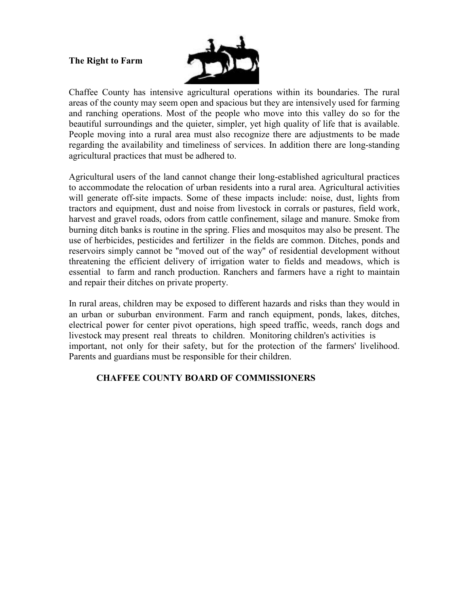#### The Right to Farm



Chaffee County has intensive agricultural operations within its boundaries. The rural areas of the county may seem open and spacious but they are intensively used for farming and ranching operations. Most of the people who move into this valley do so for the beautiful surroundings and the quieter, simpler, yet high quality of life that is available. People moving into a rural area must also recognize there are adjustments to be made regarding the availability and timeliness of services. In addition there are long-standing agricultural practices that must be adhered to.

Agricultural users of the land cannot change their long-established agricultural practices to accommodate the relocation of urban residents into a rural area. Agricultural activities will generate off-site impacts. Some of these impacts include: noise, dust, lights from tractors and equipment, dust and noise from livestock in corrals or pastures, field work, harvest and gravel roads, odors from cattle confinement, silage and manure. Smoke from burning ditch banks is routine in the spring. Flies and mosquitos may also be present. The use of herbicides, pesticides and fertilizer in the fields are common. Ditches, ponds and reservoirs simply cannot be "moved out of the way" of residential development without threatening the efficient delivery of irrigation water to fields and meadows, which is essential to farm and ranch production. Ranchers and farmers have a right to maintain and repair their ditches on private property.

In rural areas, children may be exposed to different hazards and risks than they would in an urban or suburban environment. Farm and ranch equipment, ponds, lakes, ditches, electrical power for center pivot operations, high speed traffic, weeds, ranch dogs and livestock may present real threats to children. Monitoring children's activities is important, not only for their safety, but for the protection of the farmers' livelihood. Parents and guardians must be responsible for their children.

# CHAFFEE COUNTY BOARD OF COMMISSIONERS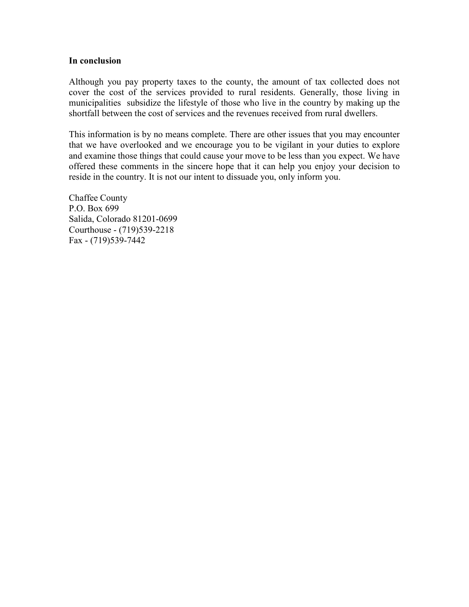#### In conclusion

Although you pay property taxes to the county, the amount of tax collected does not cover the cost of the services provided to rural residents. Generally, those living in municipalities subsidize the lifestyle of those who live in the country by making up the shortfall between the cost of services and the revenues received from rural dwellers.

This information is by no means complete. There are other issues that you may encounter that we have overlooked and we encourage you to be vigilant in your duties to explore and examine those things that could cause your move to be less than you expect. We have offered these comments in the sincere hope that it can help you enjoy your decision to reside in the country. It is not our intent to dissuade you, only inform you.

Chaffee County P.O. Box 699 Salida, Colorado 81201-0699 Courthouse - (719)539-2218 Fax - (719)539-7442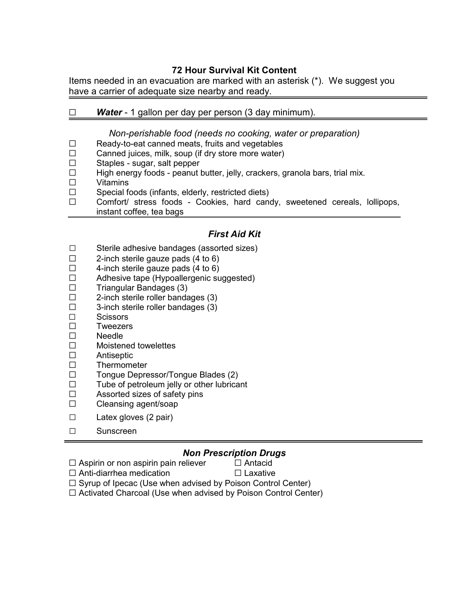# 72 Hour Survival Kit Content

Items needed in an evacuation are marked with an asterisk (\*). We suggest you have a carrier of adequate size nearby and ready.

# $\Box$  Water - 1 gallon per day per person (3 day minimum).

#### Non-perishable food (needs no cooking, water or preparation)

- $\Box$  Ready-to-eat canned meats, fruits and vegetables  $\Box$  Canned iuices, milk, soup (if dry store more water)
- Canned juices, milk, soup (if dry store more water)
- $\square$  Staples sugar, salt pepper<br> $\square$  High energy foods peanut l
- $\Box$  High energy foods peanut butter, jelly, crackers, granola bars, trial mix.<br>  $\Box$  Vitamins
- **Vitamins**
- $\Box$  Special foods (infants, elderly, restricted diets)
- $\Box$  Comfort/ stress foods Cookies, hard candy, sweetened cereals, lollipops, instant coffee, tea bags

# First Aid Kit

- □ Sterile adhesive bandages (assorted sizes)<br>□ 2-inch sterile gauze pads (4 to 6)
- 2-inch sterile gauze pads (4 to 6)
- $\Box$  4-inch sterile gauze pads (4 to 6)<br> $\Box$  Adhesive tape (Hypoallergenic su
- Adhesive tape (Hypoallergenic suggested)
- $\square$  Triangular Bandages (3)
- $\Box$  2-inch sterile roller bandages (3)
- $\Box$  3-inch sterile roller bandages (3)
- $\square$  Scissors
- $\square$  Tweezers
- $\Box$  Needle
- $\Box$  Moistened towelettes
- $\square$  Antiseptic
- G Thermometer
- $\square$  Tongue Depressor/Tongue Blades (2)<br> $\square$  Tube of petroleum ielly or other lubrica
- Tube of petroleum jelly or other lubricant
- $\Box$  Assorted sizes of safety pins
- $\Box$  Cleansing agent/soap
- □ Latex gloves (2 pair)
- □ Sunscreen

#### Non Prescription Drugs

 $\Box$  Aspirin or non aspirin pain reliever  $\Box$  Antacid  $\Box$  Anti-diarrhea medication  $\Box$  Laxative

 $\Box$  Syrup of Ipecac (Use when advised by Poison Control Center)

 $\Box$  Activated Charcoal (Use when advised by Poison Control Center)